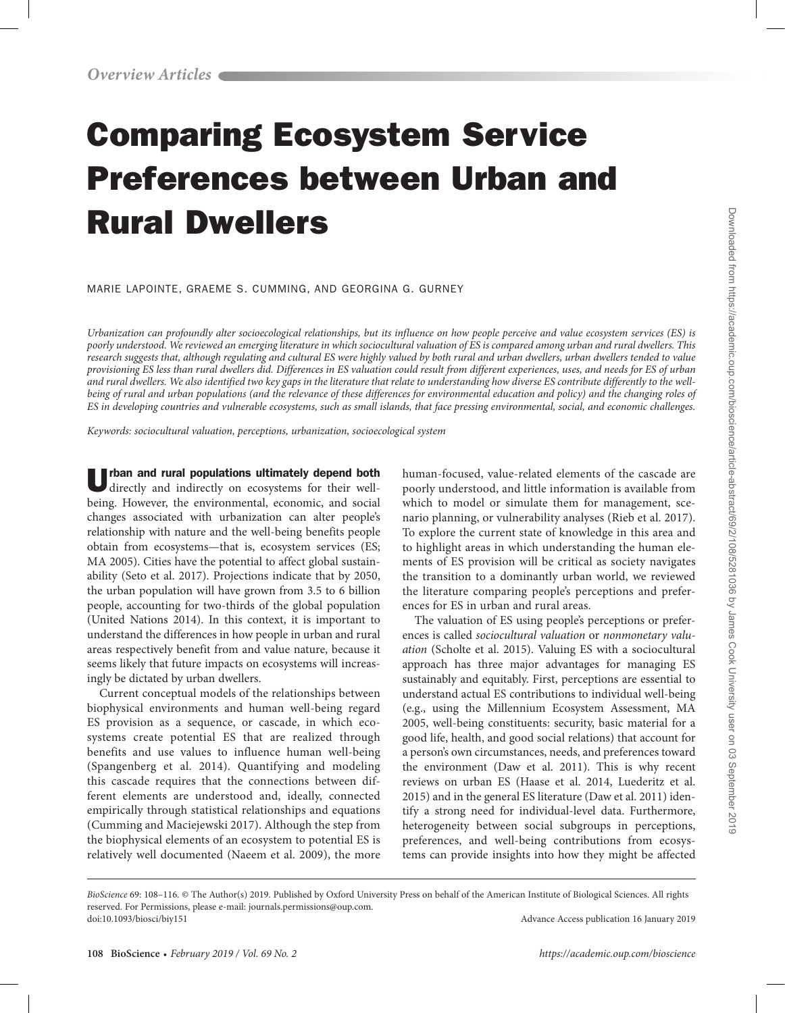# Comparing Ecosystem Service Preferences between Urban and Rural Dwellers

MARIE LAPOINTE, GRAEME S. CUMMING, AND GEORGINA G. GURNEY

*Urbanization can profoundly alter socioecological relationships, but its influence on how people perceive and value ecosystem services (ES) is poorly understood. We reviewed an emerging literature in which sociocultural valuation of ES is compared among urban and rural dwellers. This research suggests that, although regulating and cultural ES were highly valued by both rural and urban dwellers, urban dwellers tended to value provisioning ES less than rural dwellers did. Differences in ES valuation could result from different experiences, uses, and needs for ES of urban and rural dwellers. We also identified two key gaps in the literature that relate to understanding how diverse ES contribute differently to the well*being of rural and urban populations (and the relevance of these differences for environmental education and policy) and the changing roles of *ES in developing countries and vulnerable ecosystems, such as small islands, that face pressing environmental, social, and economic challenges.*

*Keywords: sociocultural valuation, perceptions, urbanization, socioecological system*

Urban and rural populations ultimately depend both directly and indirectly on ecosystems for their wellbeing. However, the environmental, economic, and social changes associated with urbanization can alter people's relationship with nature and the well-being benefits people obtain from ecosystems—that is, ecosystem services (ES; MA 2005). Cities have the potential to affect global sustainability (Seto et al. 2017). Projections indicate that by 2050, the urban population will have grown from 3.5 to 6 billion people, accounting for two-thirds of the global population (United Nations 2014). In this context, it is important to understand the differences in how people in urban and rural areas respectively benefit from and value nature, because it seems likely that future impacts on ecosystems will increasingly be dictated by urban dwellers.

Current conceptual models of the relationships between biophysical environments and human well-being regard ES provision as a sequence, or cascade, in which ecosystems create potential ES that are realized through benefits and use values to influence human well-being (Spangenberg et al. 2014). Quantifying and modeling this cascade requires that the connections between different elements are understood and, ideally, connected empirically through statistical relationships and equations (Cumming and Maciejewski 2017). Although the step from the biophysical elements of an ecosystem to potential ES is relatively well documented (Naeem et al. 2009), the more

human-focused, value-related elements of the cascade are poorly understood, and little information is available from which to model or simulate them for management, scenario planning, or vulnerability analyses (Rieb et al. 2017). To explore the current state of knowledge in this area and to highlight areas in which understanding the human elements of ES provision will be critical as society navigates the transition to a dominantly urban world, we reviewed the literature comparing people's perceptions and preferences for ES in urban and rural areas.

The valuation of ES using people's perceptions or preferences is called *sociocultural valuation* or *nonmonetary valuation* (Scholte et al. 2015). Valuing ES with a sociocultural approach has three major advantages for managing ES sustainably and equitably. First, perceptions are essential to understand actual ES contributions to individual well-being (e.g., using the Millennium Ecosystem Assessment, MA 2005, well-being constituents: security, basic material for a good life, health, and good social relations) that account for a person's own circumstances, needs, and preferences toward the environment (Daw et al. 2011). This is why recent reviews on urban ES (Haase et al. 2014, Luederitz et al. 2015) and in the general ES literature (Daw et al. 2011) identify a strong need for individual-level data. Furthermore, heterogeneity between social subgroups in perceptions, preferences, and well-being contributions from ecosystems can provide insights into how they might be affected

*BioScience* 69: 108–116. © The Author(s) 2019. Published by Oxford University Press on behalf of the American Institute of Biological Sciences. All rights reserved. For Permissions, please e-mail: journals.permissions@oup.com. doi:10.1093/biosci/biy151 Advance Access publication 16 January 2019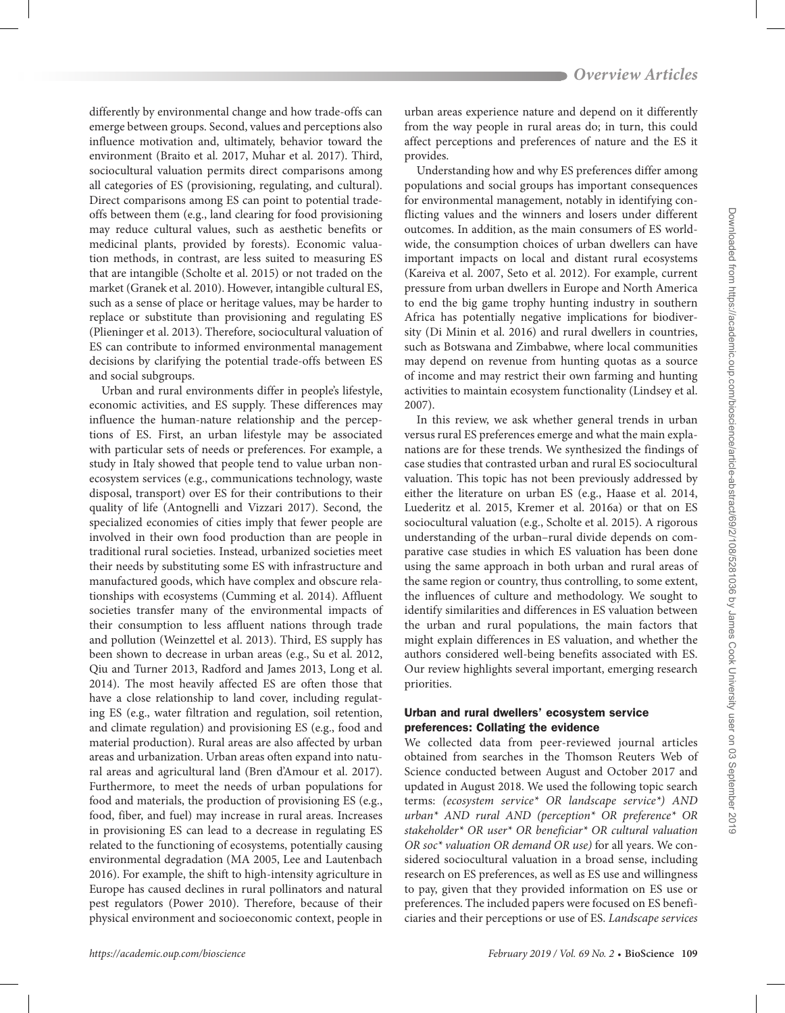differently by environmental change and how trade-offs can emerge between groups. Second, values and perceptions also influence motivation and, ultimately, behavior toward the environment (Braito et al. 2017, Muhar et al. 2017). Third, sociocultural valuation permits direct comparisons among all categories of ES (provisioning, regulating, and cultural). Direct comparisons among ES can point to potential tradeoffs between them (e.g., land clearing for food provisioning may reduce cultural values, such as aesthetic benefits or medicinal plants, provided by forests). Economic valuation methods, in contrast, are less suited to measuring ES that are intangible (Scholte et al. 2015) or not traded on the market (Granek et al. 2010). However, intangible cultural ES, such as a sense of place or heritage values, may be harder to replace or substitute than provisioning and regulating ES (Plieninger et al. 2013). Therefore, sociocultural valuation of ES can contribute to informed environmental management decisions by clarifying the potential trade-offs between ES and social subgroups.

Urban and rural environments differ in people's lifestyle, economic activities, and ES supply. These differences may influence the human-nature relationship and the perceptions of ES. First, an urban lifestyle may be associated with particular sets of needs or preferences. For example, a study in Italy showed that people tend to value urban nonecosystem services (e.g., communications technology, waste disposal, transport) over ES for their contributions to their quality of life (Antognelli and Vizzari 2017). Second*,* the specialized economies of cities imply that fewer people are involved in their own food production than are people in traditional rural societies. Instead, urbanized societies meet their needs by substituting some ES with infrastructure and manufactured goods, which have complex and obscure relationships with ecosystems (Cumming et al. 2014). Affluent societies transfer many of the environmental impacts of their consumption to less affluent nations through trade and pollution (Weinzettel et al. 2013). Third, ES supply has been shown to decrease in urban areas (e.g., Su et al. 2012, Qiu and Turner 2013, Radford and James 2013, Long et al. 2014). The most heavily affected ES are often those that have a close relationship to land cover, including regulating ES (e.g., water filtration and regulation, soil retention, and climate regulation) and provisioning ES (e.g., food and material production). Rural areas are also affected by urban areas and urbanization. Urban areas often expand into natural areas and agricultural land (Bren d'Amour et al. 2017). Furthermore, to meet the needs of urban populations for food and materials, the production of provisioning ES (e.g., food, fiber, and fuel) may increase in rural areas. Increases in provisioning ES can lead to a decrease in regulating ES related to the functioning of ecosystems, potentially causing environmental degradation (MA 2005, Lee and Lautenbach 2016). For example, the shift to high-intensity agriculture in Europe has caused declines in rural pollinators and natural pest regulators (Power 2010). Therefore, because of their physical environment and socioeconomic context, people in

urban areas experience nature and depend on it differently from the way people in rural areas do; in turn, this could affect perceptions and preferences of nature and the ES it provides.

Understanding how and why ES preferences differ among populations and social groups has important consequences for environmental management, notably in identifying conflicting values and the winners and losers under different outcomes. In addition, as the main consumers of ES worldwide, the consumption choices of urban dwellers can have important impacts on local and distant rural ecosystems (Kareiva et al. 2007, Seto et al. 2012). For example, current pressure from urban dwellers in Europe and North America to end the big game trophy hunting industry in southern Africa has potentially negative implications for biodiversity (Di Minin et al. 2016) and rural dwellers in countries, such as Botswana and Zimbabwe, where local communities may depend on revenue from hunting quotas as a source of income and may restrict their own farming and hunting activities to maintain ecosystem functionality (Lindsey et al. 2007).

In this review, we ask whether general trends in urban versus rural ES preferences emerge and what the main explanations are for these trends. We synthesized the findings of case studies that contrasted urban and rural ES sociocultural valuation. This topic has not been previously addressed by either the literature on urban ES (e.g., Haase et al. 2014, Luederitz et al. 2015, Kremer et al. 2016a) or that on ES sociocultural valuation (e.g., Scholte et al. 2015). A rigorous understanding of the urban–rural divide depends on comparative case studies in which ES valuation has been done using the same approach in both urban and rural areas of the same region or country, thus controlling, to some extent, the influences of culture and methodology. We sought to identify similarities and differences in ES valuation between the urban and rural populations, the main factors that might explain differences in ES valuation, and whether the authors considered well-being benefits associated with ES. Our review highlights several important, emerging research priorities.

# Urban and rural dwellers' ecosystem service preferences: Collating the evidence

We collected data from peer-reviewed journal articles obtained from searches in the Thomson Reuters Web of Science conducted between August and October 2017 and updated in August 2018. We used the following topic search terms: *(ecosystem service\* OR landscape service\*) AND urban\* AND rural AND (perception\* OR preference\* OR stakeholder\* OR user\* OR beneficiar\* OR cultural valuation OR soc\* valuation OR demand OR use)* for all years. We considered sociocultural valuation in a broad sense, including research on ES preferences, as well as ES use and willingness to pay, given that they provided information on ES use or preferences. The included papers were focused on ES beneficiaries and their perceptions or use of ES. *Landscape services*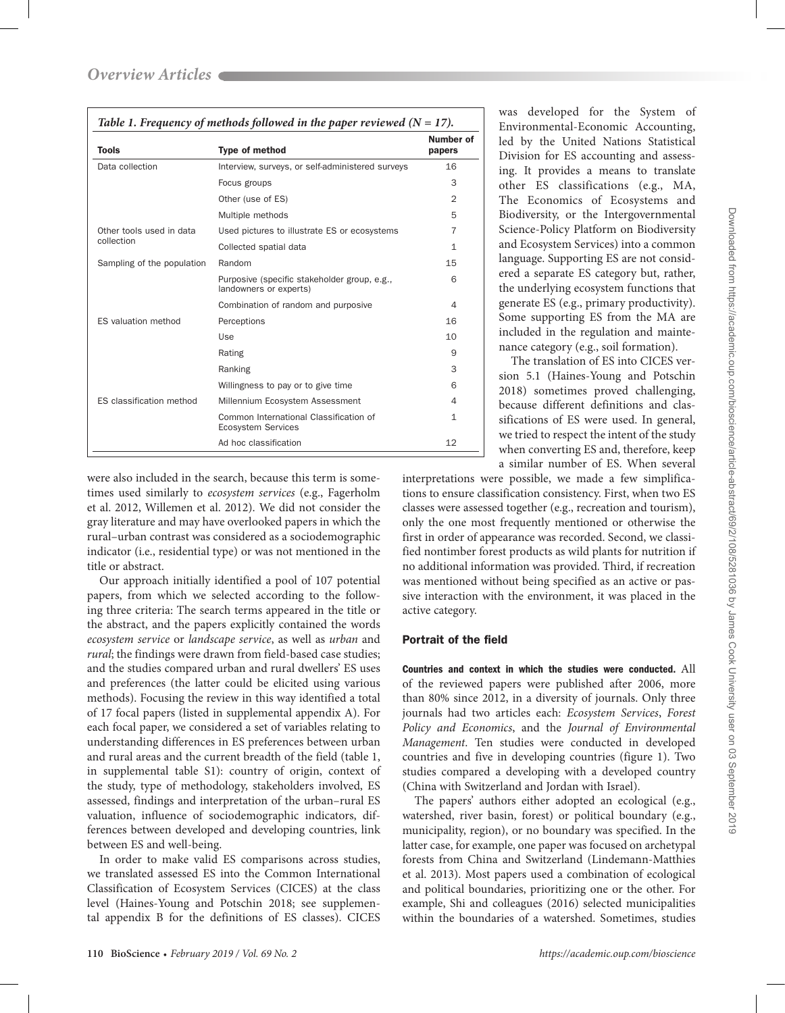| <b>Tools</b>               | <b>Type of method</b>                                                  | Number of<br>papers |
|----------------------------|------------------------------------------------------------------------|---------------------|
| Data collection            | Interview, surveys, or self-administered surveys                       | 16                  |
|                            | Focus groups                                                           | 3                   |
|                            | Other (use of ES)                                                      | $\overline{2}$      |
|                            | Multiple methods                                                       | 5                   |
| Other tools used in data   | Used pictures to illustrate ES or ecosystems                           | 7                   |
| collection                 | Collected spatial data                                                 | 1                   |
| Sampling of the population | Random                                                                 | 15                  |
|                            | Purposive (specific stakeholder group, e.g.,<br>landowners or experts) | 6                   |
|                            | Combination of random and purposive                                    | 4                   |
| ES valuation method        | Perceptions                                                            | 16                  |
|                            | Use                                                                    | 10                  |
|                            | Rating                                                                 | 9                   |
|                            | Ranking                                                                | 3                   |
|                            | Willingness to pay or to give time                                     | 6                   |
| ES classification method   | Millennium Ecosystem Assessment                                        | 4                   |
|                            | Common International Classification of<br><b>Ecosystem Services</b>    | $\mathbf{1}$        |
|                            | Ad hoc classification                                                  | 12                  |

were also included in the search, because this term is sometimes used similarly to *ecosystem services* (e.g., Fagerholm et al. 2012, Willemen et al. 2012). We did not consider the gray literature and may have overlooked papers in which the rural–urban contrast was considered as a sociodemographic indicator (i.e., residential type) or was not mentioned in the title or abstract.

Our approach initially identified a pool of 107 potential papers, from which we selected according to the following three criteria: The search terms appeared in the title or the abstract, and the papers explicitly contained the words *ecosystem service* or *landscape service*, as well as *urban* and *rural*; the findings were drawn from field-based case studies; and the studies compared urban and rural dwellers' ES uses and preferences (the latter could be elicited using various methods). Focusing the review in this way identified a total of 17 focal papers (listed in supplemental appendix A). For each focal paper, we considered a set of variables relating to understanding differences in ES preferences between urban and rural areas and the current breadth of the field (table 1, in supplemental table S1): country of origin, context of the study, type of methodology, stakeholders involved, ES assessed, findings and interpretation of the urban–rural ES valuation, influence of sociodemographic indicators, differences between developed and developing countries, link between ES and well-being.

In order to make valid ES comparisons across studies, we translated assessed ES into the Common International Classification of Ecosystem Services (CICES) at the class level (Haines-Young and Potschin 2018; see supplemental appendix B for the definitions of ES classes). CICES

was developed for the System of Environmental-Economic Accounting, led by the United Nations Statistical Division for ES accounting and assessing. It provides a means to translate other ES classifications (e.g., MA, The Economics of Ecosystems and Biodiversity, or the Intergovernmental Science-Policy Platform on Biodiversity and Ecosystem Services) into a common language. Supporting ES are not considered a separate ES category but, rather, the underlying ecosystem functions that generate ES (e.g., primary productivity). Some supporting ES from the MA are included in the regulation and maintenance category (e.g., soil formation).

The translation of ES into CICES version 5.1 (Haines-Young and Potschin 2018) sometimes proved challenging, because different definitions and classifications of ES were used. In general, we tried to respect the intent of the study when converting ES and, therefore, keep a similar number of ES. When several

interpretations were possible, we made a few simplifications to ensure classification consistency. First, when two ES classes were assessed together (e.g., recreation and tourism), only the one most frequently mentioned or otherwise the first in order of appearance was recorded. Second, we classified nontimber forest products as wild plants for nutrition if no additional information was provided. Third, if recreation was mentioned without being specified as an active or passive interaction with the environment, it was placed in the active category.

## Portrait of the field

Countries and context in which the studies were conducted. All of the reviewed papers were published after 2006, more than 80% since 2012, in a diversity of journals. Only three journals had two articles each: *Ecosystem Services*, *Forest Policy and Economics*, and the *Journal of Environmental Management*. Ten studies were conducted in developed countries and five in developing countries (figure 1). Two studies compared a developing with a developed country (China with Switzerland and Jordan with Israel).

The papers' authors either adopted an ecological (e.g., watershed, river basin, forest) or political boundary (e.g., municipality, region), or no boundary was specified. In the latter case, for example, one paper was focused on archetypal forests from China and Switzerland (Lindemann-Matthies et al. 2013). Most papers used a combination of ecological and political boundaries, prioritizing one or the other. For example, Shi and colleagues (2016) selected municipalities within the boundaries of a watershed. Sometimes, studies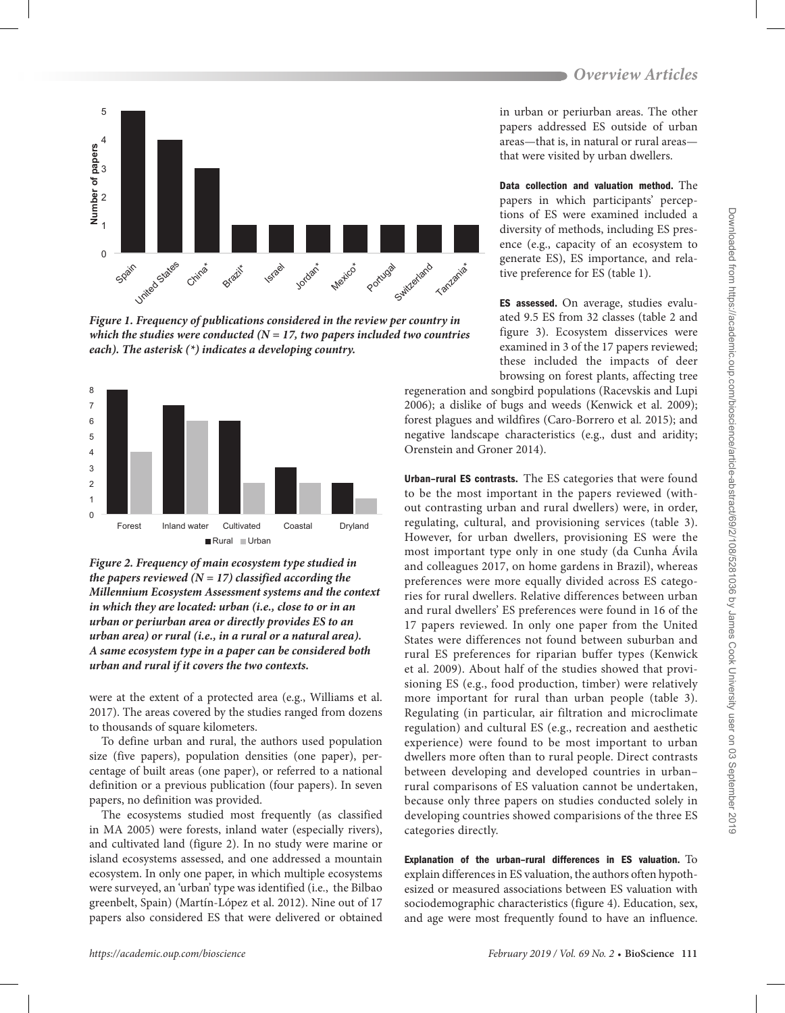

*Figure 1. Frequency of publications considered in the review per country in which the studies were conducted (* $N = 17$ *, two papers included two countries each). The asterisk (\*) indicates a developing country.*



*Figure 2. Frequency of main ecosystem type studied in the papers reviewed (N = 17) classified according the Millennium Ecosystem Assessment systems and the context in which they are located: urban (i.e., close to or in an urban or periurban area or directly provides ES to an urban area) or rural (i.e., in a rural or a natural area). A same ecosystem type in a paper can be considered both urban and rural if it covers the two contexts.*

were at the extent of a protected area (e.g., Williams et al. 2017). The areas covered by the studies ranged from dozens to thousands of square kilometers.

To define urban and rural, the authors used population size (five papers), population densities (one paper), percentage of built areas (one paper), or referred to a national definition or a previous publication (four papers). In seven papers, no definition was provided.

The ecosystems studied most frequently (as classified in MA 2005) were forests, inland water (especially rivers), and cultivated land (figure 2). In no study were marine or island ecosystems assessed, and one addressed a mountain ecosystem. In only one paper, in which multiple ecosystems were surveyed, an 'urban' type was identified (i.e., the Bilbao greenbelt, Spain) (Martín-López et al. 2012). Nine out of 17 papers also considered ES that were delivered or obtained

in urban or periurban areas. The other papers addressed ES outside of urban areas—that is, in natural or rural areas that were visited by urban dwellers.

Data collection and valuation method. The papers in which participants' perceptions of ES were examined included a diversity of methods, including ES presence (e.g., capacity of an ecosystem to generate ES), ES importance, and relative preference for ES (table 1).

ES assessed. On average, studies evaluated 9.5 ES from 32 classes (table 2 and figure 3). Ecosystem disservices were examined in 3 of the 17 papers reviewed; these included the impacts of deer browsing on forest plants, affecting tree

regeneration and songbird populations (Racevskis and Lupi 2006); a dislike of bugs and weeds (Kenwick et al. 2009); forest plagues and wildfires (Caro-Borrero et al. 2015); and negative landscape characteristics (e.g., dust and aridity; Orenstein and Groner 2014).

Urban–rural ES contrasts. The ES categories that were found to be the most important in the papers reviewed (without contrasting urban and rural dwellers) were, in order, regulating, cultural, and provisioning services (table 3). However, for urban dwellers, provisioning ES were the most important type only in one study (da Cunha Ávila and colleagues 2017, on home gardens in Brazil), whereas preferences were more equally divided across ES categories for rural dwellers. Relative differences between urban and rural dwellers' ES preferences were found in 16 of the 17 papers reviewed. In only one paper from the United States were differences not found between suburban and rural ES preferences for riparian buffer types (Kenwick et al. 2009). About half of the studies showed that provisioning ES (e.g., food production, timber) were relatively more important for rural than urban people (table 3). Regulating (in particular, air filtration and microclimate regulation) and cultural ES (e.g., recreation and aesthetic experience) were found to be most important to urban dwellers more often than to rural people. Direct contrasts between developing and developed countries in urban– rural comparisons of ES valuation cannot be undertaken, because only three papers on studies conducted solely in developing countries showed comparisions of the three ES categories directly.

Explanation of the urban–rural differences in ES valuation. To explain differences in ES valuation, the authors often hypothesized or measured associations between ES valuation with sociodemographic characteristics (figure 4). Education, sex, and age were most frequently found to have an influence.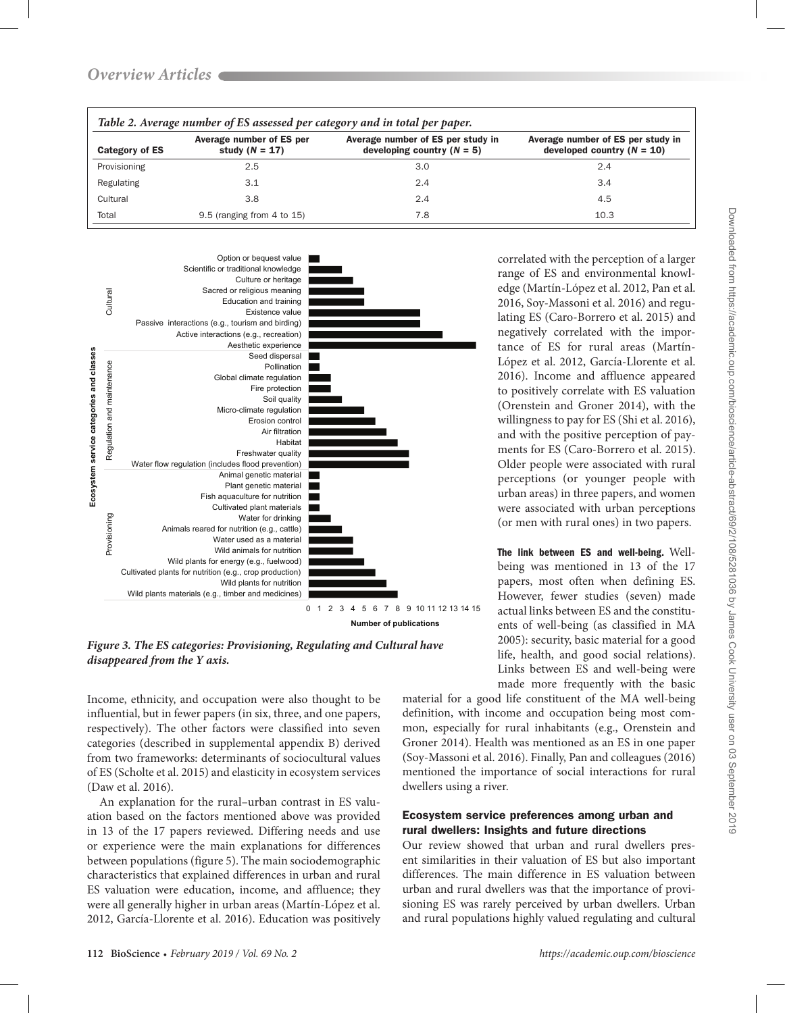| Table 2. Average number of ES assessed per category and in total per paper. |                                              |                                                                   |                                                                   |  |  |  |
|-----------------------------------------------------------------------------|----------------------------------------------|-------------------------------------------------------------------|-------------------------------------------------------------------|--|--|--|
| Category of ES                                                              | Average number of ES per<br>study $(N = 17)$ | Average number of ES per study in<br>developing country $(N = 5)$ | Average number of ES per study in<br>developed country $(N = 10)$ |  |  |  |
| Provisioning                                                                | 2.5                                          | 3.0                                                               | 2.4                                                               |  |  |  |
| Regulating                                                                  | 3.1                                          | 2.4                                                               | 3.4                                                               |  |  |  |
| Cultural                                                                    | 3.8                                          | 2.4                                                               | 4.5                                                               |  |  |  |
| Total                                                                       | $9.5$ (ranging from 4 to 15)                 | 7.8                                                               | 10.3                                                              |  |  |  |



*Figure 3. The ES categories: Provisioning, Regulating and Cultural have disappeared from the Y axis.*

Income, ethnicity, and occupation were also thought to be influential, but in fewer papers (in six, three, and one papers, respectively). The other factors were classified into seven categories (described in supplemental appendix B) derived from two frameworks: determinants of sociocultural values of ES (Scholte et al. 2015) and elasticity in ecosystem services (Daw et al. 2016).

An explanation for the rural–urban contrast in ES valuation based on the factors mentioned above was provided in 13 of the 17 papers reviewed. Differing needs and use or experience were the main explanations for differences between populations (figure 5). The main sociodemographic characteristics that explained differences in urban and rural ES valuation were education, income, and affluence; they were all generally higher in urban areas (Martín-López et al. 2012, García-Llorente et al. 2016). Education was positively

correlated with the perception of a larger range of ES and environmental knowledge (Martín-López et al. 2012, Pan et al. 2016, Soy-Massoni et al. 2016) and regulating ES (Caro-Borrero et al. 2015) and negatively correlated with the importance of ES for rural areas (Martín-López et al. 2012, García-Llorente et al. 2016). Income and affluence appeared to positively correlate with ES valuation (Orenstein and Groner 2014), with the willingness to pay for ES (Shi et al. 2016), and with the positive perception of payments for ES (Caro-Borrero et al. 2015). Older people were associated with rural perceptions (or younger people with urban areas) in three papers, and women were associated with urban perceptions (or men with rural ones) in two papers.

The link between ES and well-being. Wellbeing was mentioned in 13 of the 17 papers, most often when defining ES. However, fewer studies (seven) made actual links between ES and the constituents of well-being (as classified in MA 2005): security, basic material for a good life, health, and good social relations). Links between ES and well-being were made more frequently with the basic

material for a good life constituent of the MA well-being definition, with income and occupation being most common, especially for rural inhabitants (e.g., Orenstein and Groner 2014). Health was mentioned as an ES in one paper (Soy-Massoni et al. 2016). Finally, Pan and colleagues (2016) mentioned the importance of social interactions for rural dwellers using a river.

# Ecosystem service preferences among urban and rural dwellers: Insights and future directions

Our review showed that urban and rural dwellers present similarities in their valuation of ES but also important differences. The main difference in ES valuation between urban and rural dwellers was that the importance of provisioning ES was rarely perceived by urban dwellers. Urban and rural populations highly valued regulating and cultural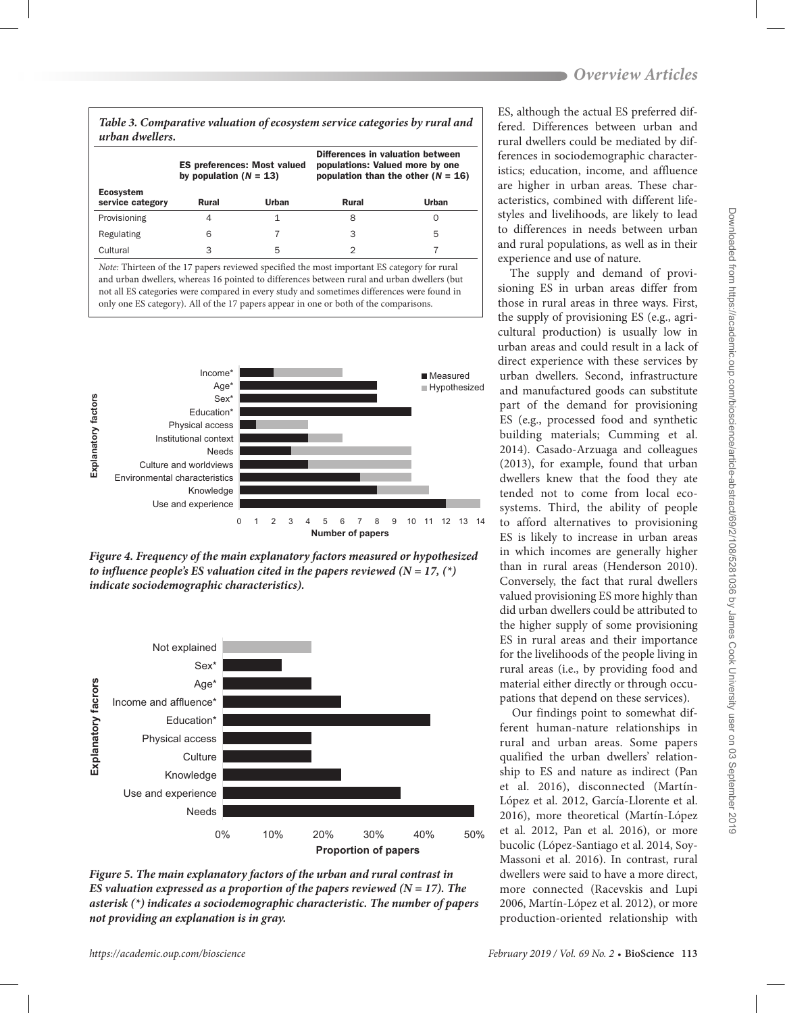#### *Table 3. Comparative valuation of ecosystem service categories by rural and urban dwellers.*

|                                      | <b>ES preferences: Most valued</b><br>by population $(N = 13)$ |       | Differences in valuation between<br>populations: Valued more by one<br>population than the other $(N = 16)$ |       |
|--------------------------------------|----------------------------------------------------------------|-------|-------------------------------------------------------------------------------------------------------------|-------|
| <b>Ecosystem</b><br>service category | Rural                                                          | Urban | Rural                                                                                                       | Urban |
| Provisioning                         | 4                                                              |       | 8                                                                                                           | O     |
| Regulating                           | 6                                                              |       | З                                                                                                           | 5     |
| Cultural                             | 3                                                              | 5     |                                                                                                             |       |

*Note:* Thirteen of the 17 papers reviewed specified the most important ES category for rural and urban dwellers, whereas 16 pointed to differences between rural and urban dwellers (but not all ES categories were compared in every study and sometimes differences were found in only one ES category). All of the 17 papers appear in one or both of the comparisons.



*Figure 4. Frequency of the main explanatory factors measured or hypothesized to influence people's ES valuation cited in the papers reviewed (N = 17,*  $(*)$ *) indicate sociodemographic characteristics).*



*Figure 5. The main explanatory factors of the urban and rural contrast in ES valuation expressed as a proportion of the papers reviewed (* $N = 17$ *). The asterisk (\*) indicates a sociodemographic characteristic. The number of papers not providing an explanation is in gray.*

ES, although the actual ES preferred differed. Differences between urban and rural dwellers could be mediated by differences in sociodemographic characteristics; education, income, and affluence are higher in urban areas. These characteristics, combined with different lifestyles and livelihoods, are likely to lead to differences in needs between urban and rural populations, as well as in their experience and use of nature.

The supply and demand of provisioning ES in urban areas differ from those in rural areas in three ways. First, the supply of provisioning ES (e.g., agricultural production) is usually low in urban areas and could result in a lack of direct experience with these services by urban dwellers. Second, infrastructure and manufactured goods can substitute part of the demand for provisioning ES (e.g., processed food and synthetic building materials; Cumming et al. 2014). Casado-Arzuaga and colleagues (2013), for example, found that urban dwellers knew that the food they ate tended not to come from local ecosystems. Third, the ability of people to afford alternatives to provisioning ES is likely to increase in urban areas in which incomes are generally higher than in rural areas (Henderson 2010). Conversely, the fact that rural dwellers valued provisioning ES more highly than did urban dwellers could be attributed to the higher supply of some provisioning ES in rural areas and their importance for the livelihoods of the people living in rural areas (i.e., by providing food and material either directly or through occupations that depend on these services).

Our findings point to somewhat different human-nature relationships in rural and urban areas. Some papers qualified the urban dwellers' relationship to ES and nature as indirect (Pan et al. 2016), disconnected (Martín-López et al. 2012, García-Llorente et al. 2016), more theoretical (Martín-López et al. 2012, Pan et al. 2016), or more bucolic (López-Santiago et al. 2014, Soy-Massoni et al. 2016). In contrast, rural dwellers were said to have a more direct, more connected (Racevskis and Lupi 2006, Martín-López et al. 2012), or more production-oriented relationship with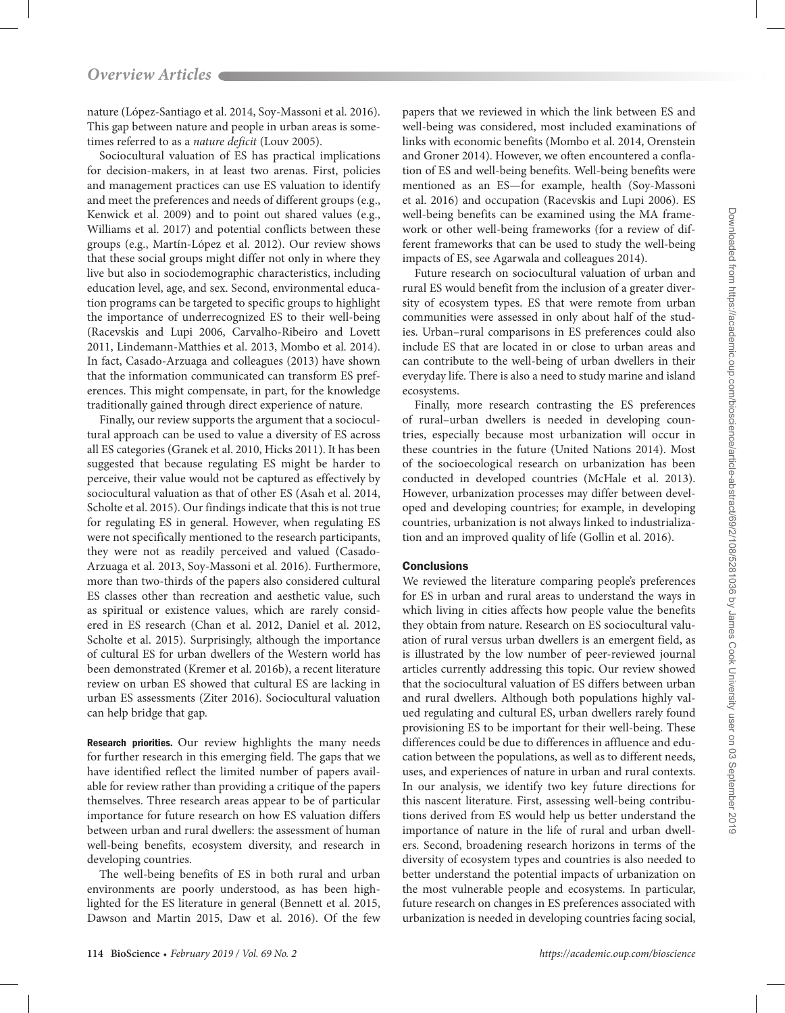nature (López-Santiago et al. 2014, Soy-Massoni et al. 2016). This gap between nature and people in urban areas is sometimes referred to as a *nature deficit* (Louv 2005).

Sociocultural valuation of ES has practical implications for decision-makers, in at least two arenas. First, policies and management practices can use ES valuation to identify and meet the preferences and needs of different groups (e.g., Kenwick et al. 2009) and to point out shared values (e.g., Williams et al. 2017) and potential conflicts between these groups (e.g., Martín-López et al. 2012). Our review shows that these social groups might differ not only in where they live but also in sociodemographic characteristics, including education level, age, and sex. Second, environmental education programs can be targeted to specific groups to highlight the importance of underrecognized ES to their well-being (Racevskis and Lupi 2006, Carvalho-Ribeiro and Lovett 2011, Lindemann-Matthies et al. 2013, Mombo et al. 2014). In fact, Casado-Arzuaga and colleagues (2013) have shown that the information communicated can transform ES preferences. This might compensate, in part, for the knowledge traditionally gained through direct experience of nature.

Finally, our review supports the argument that a sociocultural approach can be used to value a diversity of ES across all ES categories (Granek et al. 2010, Hicks 2011). It has been suggested that because regulating ES might be harder to perceive, their value would not be captured as effectively by sociocultural valuation as that of other ES (Asah et al. 2014, Scholte et al. 2015). Our findings indicate that this is not true for regulating ES in general. However, when regulating ES were not specifically mentioned to the research participants, they were not as readily perceived and valued (Casado-Arzuaga et al. 2013, Soy-Massoni et al. 2016). Furthermore, more than two-thirds of the papers also considered cultural ES classes other than recreation and aesthetic value, such as spiritual or existence values, which are rarely considered in ES research (Chan et al. 2012, Daniel et al. 2012, Scholte et al. 2015). Surprisingly, although the importance of cultural ES for urban dwellers of the Western world has been demonstrated (Kremer et al. 2016b), a recent literature review on urban ES showed that cultural ES are lacking in urban ES assessments (Ziter 2016). Sociocultural valuation can help bridge that gap.

Research priorities. Our review highlights the many needs for further research in this emerging field. The gaps that we have identified reflect the limited number of papers available for review rather than providing a critique of the papers themselves. Three research areas appear to be of particular importance for future research on how ES valuation differs between urban and rural dwellers: the assessment of human well-being benefits, ecosystem diversity, and research in developing countries.

The well-being benefits of ES in both rural and urban environments are poorly understood, as has been highlighted for the ES literature in general (Bennett et al. 2015, Dawson and Martin 2015, Daw et al. 2016). Of the few

papers that we reviewed in which the link between ES and well-being was considered, most included examinations of links with economic benefits (Mombo et al. 2014, Orenstein and Groner 2014). However, we often encountered a conflation of ES and well-being benefits. Well-being benefits were mentioned as an ES—for example, health (Soy-Massoni et al. 2016) and occupation (Racevskis and Lupi 2006). ES well-being benefits can be examined using the MA framework or other well-being frameworks (for a review of different frameworks that can be used to study the well-being impacts of ES, see Agarwala and colleagues 2014).

Future research on sociocultural valuation of urban and rural ES would benefit from the inclusion of a greater diversity of ecosystem types. ES that were remote from urban communities were assessed in only about half of the studies. Urban–rural comparisons in ES preferences could also include ES that are located in or close to urban areas and can contribute to the well-being of urban dwellers in their everyday life. There is also a need to study marine and island ecosystems.

Finally, more research contrasting the ES preferences of rural–urban dwellers is needed in developing countries, especially because most urbanization will occur in these countries in the future (United Nations 2014). Most of the socioecological research on urbanization has been conducted in developed countries (McHale et al. 2013). However, urbanization processes may differ between developed and developing countries; for example, in developing countries, urbanization is not always linked to industrialization and an improved quality of life (Gollin et al. 2016).

## **Conclusions**

We reviewed the literature comparing people's preferences for ES in urban and rural areas to understand the ways in which living in cities affects how people value the benefits they obtain from nature. Research on ES sociocultural valuation of rural versus urban dwellers is an emergent field, as is illustrated by the low number of peer-reviewed journal articles currently addressing this topic. Our review showed that the sociocultural valuation of ES differs between urban and rural dwellers. Although both populations highly valued regulating and cultural ES, urban dwellers rarely found provisioning ES to be important for their well-being. These differences could be due to differences in affluence and education between the populations, as well as to different needs, uses, and experiences of nature in urban and rural contexts. In our analysis, we identify two key future directions for this nascent literature. First, assessing well-being contributions derived from ES would help us better understand the importance of nature in the life of rural and urban dwellers. Second, broadening research horizons in terms of the diversity of ecosystem types and countries is also needed to better understand the potential impacts of urbanization on the most vulnerable people and ecosystems. In particular, future research on changes in ES preferences associated with urbanization is needed in developing countries facing social,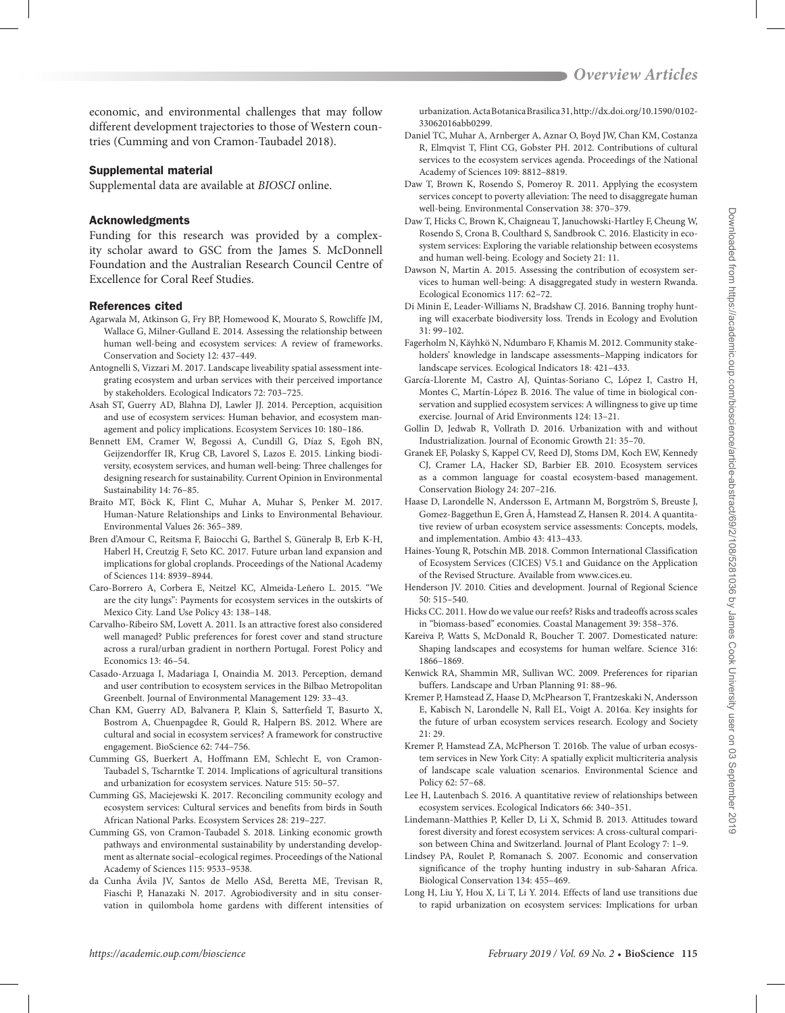economic, and environmental challenges that may follow different development trajectories to those of Western countries (Cumming and von Cramon-Taubadel 2018).

## Supplemental material

Supplemental data are available at *[BIOSCI](https://academic.oup.com/bioscience/article-lookup/doi/10.1093/biosci/biy151#supplementary-data)* online.

# Acknowledgments

Funding for this research was provided by a complexity scholar award to GSC from the James S. McDonnell Foundation and the Australian Research Council Centre of Excellence for Coral Reef Studies.

## References cited

- Agarwala M, Atkinson G, Fry BP, Homewood K, Mourato S, Rowcliffe JM, Wallace G, Milner-Gulland E. 2014. Assessing the relationship between human well-being and ecosystem services: A review of frameworks. Conservation and Society 12: 437–449.
- Antognelli S, Vizzari M. 2017. Landscape liveability spatial assessment integrating ecosystem and urban services with their perceived importance by stakeholders. Ecological Indicators 72: 703–725.
- Asah ST, Guerry AD, Blahna DJ, Lawler JJ. 2014. Perception, acquisition and use of ecosystem services: Human behavior, and ecosystem management and policy implications. Ecosystem Services 10: 180–186.
- Bennett EM, Cramer W, Begossi A, Cundill G, Díaz S, Egoh BN, Geijzendorffer IR, Krug CB, Lavorel S, Lazos E. 2015. Linking biodiversity, ecosystem services, and human well-being: Three challenges for designing research for sustainability. Current Opinion in Environmental Sustainability 14: 76–85.
- Braito MT, Böck K, Flint C, Muhar A, Muhar S, Penker M. 2017. Human-Nature Relationships and Links to Environmental Behaviour. Environmental Values 26: 365–389.
- Bren d'Amour C, Reitsma F, Baiocchi G, Barthel S, Güneralp B, Erb K-H, Haberl H, Creutzig F, Seto KC. 2017. Future urban land expansion and implications for global croplands. Proceedings of the National Academy of Sciences 114: 8939–8944.
- Caro-Borrero A, Corbera E, Neitzel KC, Almeida-Leñero L. 2015. "We are the city lungs": Payments for ecosystem services in the outskirts of Mexico City. Land Use Policy 43: 138–148.
- Carvalho-Ribeiro SM, Lovett A. 2011. Is an attractive forest also considered well managed? Public preferences for forest cover and stand structure across a rural/urban gradient in northern Portugal. Forest Policy and Economics 13: 46–54.
- Casado-Arzuaga I, Madariaga I, Onaindia M. 2013. Perception, demand and user contribution to ecosystem services in the Bilbao Metropolitan Greenbelt. Journal of Environmental Management 129: 33–43.
- Chan KM, Guerry AD, Balvanera P, Klain S, Satterfield T, Basurto X, Bostrom A, Chuenpagdee R, Gould R, Halpern BS. 2012. Where are cultural and social in ecosystem services? A framework for constructive engagement. BioScience 62: 744–756.
- Cumming GS, Buerkert A, Hoffmann EM, Schlecht E, von Cramon-Taubadel S, Tscharntke T. 2014. Implications of agricultural transitions and urbanization for ecosystem services. Nature 515: 50–57.
- Cumming GS, Maciejewski K. 2017. Reconciling community ecology and ecosystem services: Cultural services and benefits from birds in South African National Parks. Ecosystem Services 28: 219–227.
- Cumming GS, von Cramon-Taubadel S. 2018. Linking economic growth pathways and environmental sustainability by understanding development as alternate social–ecological regimes. Proceedings of the National Academy of Sciences 115: 9533–9538.
- da Cunha Ávila JV, Santos de Mello ASd, Beretta ME, Trevisan R, Fiaschi P, Hanazaki N. 2017. Agrobiodiversity and in situ conservation in quilombola home gardens with different intensities of

urbanization. Acta Botanica Brasilica 31, http://dx.doi.org/10.1590/0102- 33062016abb0299.

- Daniel TC, Muhar A, Arnberger A, Aznar O, Boyd JW, Chan KM, Costanza R, Elmqvist T, Flint CG, Gobster PH. 2012. Contributions of cultural services to the ecosystem services agenda. Proceedings of the National Academy of Sciences 109: 8812–8819.
- Daw T, Brown K, Rosendo S, Pomeroy R. 2011. Applying the ecosystem services concept to poverty alleviation: The need to disaggregate human well-being. Environmental Conservation 38: 370–379.
- Daw T, Hicks C, Brown K, Chaigneau T, Januchowski-Hartley F, Cheung W, Rosendo S, Crona B, Coulthard S, Sandbrook C. 2016. Elasticity in ecosystem services: Exploring the variable relationship between ecosystems and human well-being. Ecology and Society 21: 11.
- Dawson N, Martin A. 2015. Assessing the contribution of ecosystem services to human well-being: A disaggregated study in western Rwanda. Ecological Economics 117: 62–72.
- Di Minin E, Leader-Williams N, Bradshaw CJ. 2016. Banning trophy hunting will exacerbate biodiversity loss. Trends in Ecology and Evolution 31: 99–102.
- Fagerholm N, Käyhkö N, Ndumbaro F, Khamis M. 2012. Community stakeholders' knowledge in landscape assessments–Mapping indicators for landscape services. Ecological Indicators 18: 421–433.
- García-Llorente M, Castro AJ, Quintas-Soriano C, López I, Castro H, Montes C, Martín-López B. 2016. The value of time in biological conservation and supplied ecosystem services: A willingness to give up time exercise. Journal of Arid Environments 124: 13–21.
- Gollin D, Jedwab R, Vollrath D. 2016. Urbanization with and without Industrialization. Journal of Economic Growth 21: 35–70.
- Granek EF, Polasky S, Kappel CV, Reed DJ, Stoms DM, Koch EW, Kennedy CJ, Cramer LA, Hacker SD, Barbier EB. 2010. Ecosystem services as a common language for coastal ecosystem‐based management. Conservation Biology 24: 207–216.
- Haase D, Larondelle N, Andersson E, Artmann M, Borgström S, Breuste J, Gomez-Baggethun E, Gren Å, Hamstead Z, Hansen R. 2014. A quantitative review of urban ecosystem service assessments: Concepts, models, and implementation. Ambio 43: 413–433.
- Haines-Young R, Potschin MB. 2018. Common International Classification of Ecosystem Services (CICES) V5.1 and Guidance on the Application of the Revised Structure. Available from www.cices.eu.
- Henderson JV. 2010. Cities and development. Journal of Regional Science 50: 515–540.
- Hicks CC. 2011. How do we value our reefs? Risks and tradeoffs across scales in "biomass-based" economies. Coastal Management 39: 358–376.
- Kareiva P, Watts S, McDonald R, Boucher T. 2007. Domesticated nature: Shaping landscapes and ecosystems for human welfare. Science 316: 1866–1869.
- Kenwick RA, Shammin MR, Sullivan WC. 2009. Preferences for riparian buffers. Landscape and Urban Planning 91: 88–96.
- Kremer P, Hamstead Z, Haase D, McPhearson T, Frantzeskaki N, Andersson E, Kabisch N, Larondelle N, Rall EL, Voigt A. 2016a. Key insights for the future of urban ecosystem services research. Ecology and Society  $21:29$
- Kremer P, Hamstead ZA, McPherson T. 2016b. The value of urban ecosystem services in New York City: A spatially explicit multicriteria analysis of landscape scale valuation scenarios. Environmental Science and Policy 62: 57–68.
- Lee H, Lautenbach S. 2016. A quantitative review of relationships between ecosystem services. Ecological Indicators 66: 340–351.
- Lindemann-Matthies P, Keller D, Li X, Schmid B. 2013. Attitudes toward forest diversity and forest ecosystem services: A cross-cultural comparison between China and Switzerland. Journal of Plant Ecology 7: 1–9.
- Lindsey PA, Roulet P, Romanach S. 2007. Economic and conservation significance of the trophy hunting industry in sub-Saharan Africa. Biological Conservation 134: 455–469.
- Long H, Liu Y, Hou X, Li T, Li Y. 2014. Effects of land use transitions due to rapid urbanization on ecosystem services: Implications for urban